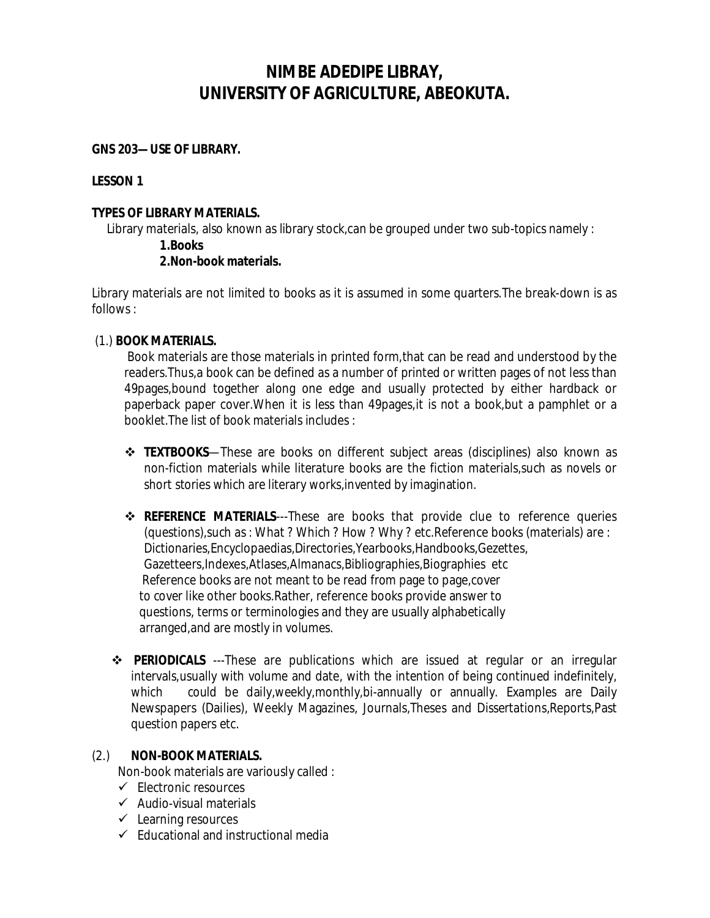# **NIMBE ADEDIPE LIBRAY, UNIVERSITY OF AGRICULTURE, ABEOKUTA.**

#### **GNS 203—USE OF LIBRARY.**

#### **LESSON 1**

#### **TYPES OF LIBRARY MATERIALS.**

Library materials, also known as library stock,can be grouped under two sub-topics namely :

#### **1.Books**

## **2.Non-book materials.**

Library materials are not limited to books as it is assumed in some quarters.The break-down is as follows :

## (1.) **BOOK MATERIALS.**

Book materials are those materials in printed form,that can be read and understood by the readers.Thus,a book can be defined as a number of printed or written pages of not less than 49pages,bound together along one edge and usually protected by either hardback or paperback paper cover.When it is less than 49pages,it is not a book,but a pamphlet or a booklet.The list of book materials includes :

- **TEXTBOOKS**—These are books on different subject areas (disciplines) also known as non-fiction materials while literature books are the fiction materials,such as novels or short stories which are literary works,invented by imagination.
- **REFERENCE MATERIALS**---These are books that provide clue to reference queries (questions),such as : What ? Which ? How ? Why ? etc.Reference books (materials) are : Dictionaries,Encyclopaedias,Directories,Yearbooks,Handbooks,Gezettes, Gazetteers,Indexes,Atlases,Almanacs,Bibliographies,Biographies etc Reference books are not meant to be read from page to page,cover to cover like other books.Rather, reference books provide answer to questions, terms or terminologies and they are usually alphabetically arranged,and are mostly in volumes.
- **PERIODICALS** ---These are publications which are issued at regular or an irregular intervals,usually with volume and date, with the intention of being continued indefinitely, which could be daily, weekly, monthly, bi-annually or annually. Examples are Daily Newspapers (Dailies), Weekly Magazines, Journals,Theses and Dissertations,Reports,Past question papers etc.

#### (2.) **NON-BOOK MATERIALS.**

Non-book materials are variously called :

- $\checkmark$  Electronic resources
- $\checkmark$  Audio-visual materials
- $\checkmark$  Learning resources
- $\checkmark$  Educational and instructional media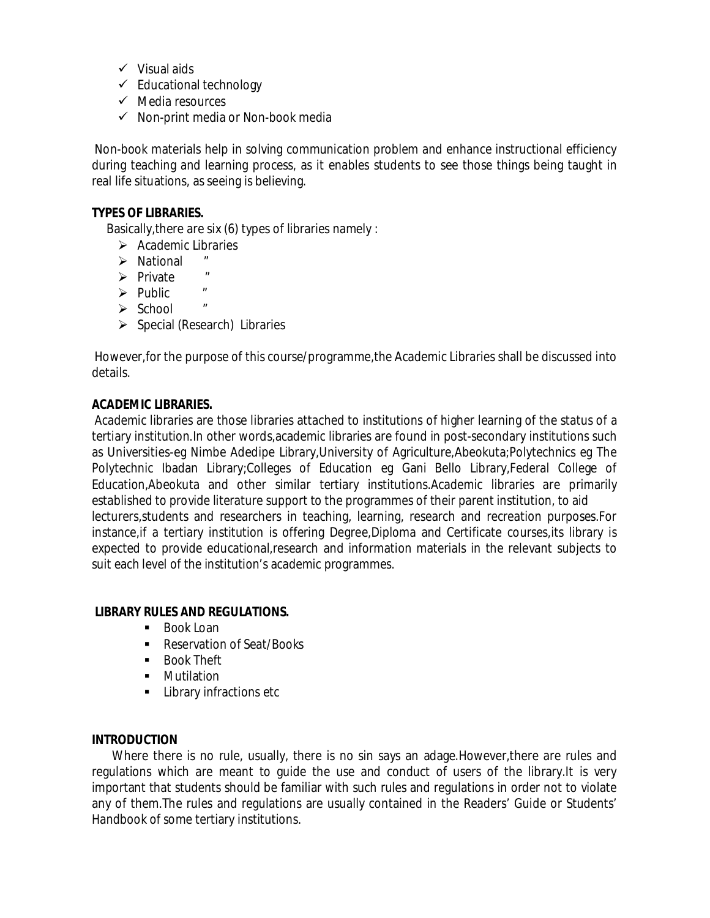- $\checkmark$  Visual aids
- $\checkmark$  Educational technology
- $\checkmark$  Media resources
- $\checkmark$  Non-print media or Non-book media

Non-book materials help in solving communication problem and enhance instructional efficiency during teaching and learning process, as it enables students to see those things being taught in real life situations, as seeing is believing.

## **TYPES OF LIBRARIES.**

Basically,there are six (6) types of libraries namely :

- $\triangleright$  Academic Libraries
- $\triangleright$  National
- $\triangleright$  Private "
- $\triangleright$  Public "
- $\triangleright$  School "
- $\triangleright$  Special (Research) Libraries

However,for the purpose of this course/programme,the Academic Libraries shall be discussed into details.

## **ACADEMIC LIBRARIES.**

Academic libraries are those libraries attached to institutions of higher learning of the status of a tertiary institution.In other words,academic libraries are found in post-secondary institutions such as Universities-eg Nimbe Adedipe Library,University of Agriculture,Abeokuta;Polytechnics eg The Polytechnic Ibadan Library;Colleges of Education eg Gani Bello Library,Federal College of Education,Abeokuta and other similar tertiary institutions.Academic libraries are primarily established to provide literature support to the programmes of their parent institution, to aid lecturers,students and researchers in teaching, learning, research and recreation purposes.For instance,if a tertiary institution is offering Degree,Diploma and Certificate courses,its library is expected to provide educational,research and information materials in the relevant subjects to suit each level of the institution's academic programmes.

#### **LIBRARY RULES AND REGULATIONS.**

- Book Loan
- Reservation of Seat/Books
- **Book Theft**
- **•** Mutilation
- **Library infractions etc**

#### **INTRODUCTION**

 Where there is no rule, usually, there is no sin says an adage.However,there are rules and regulations which are meant to guide the use and conduct of users of the library.It is very important that students should be familiar with such rules and regulations in order not to violate any of them.The rules and regulations are usually contained in the Readers' Guide or Students' Handbook of some tertiary institutions.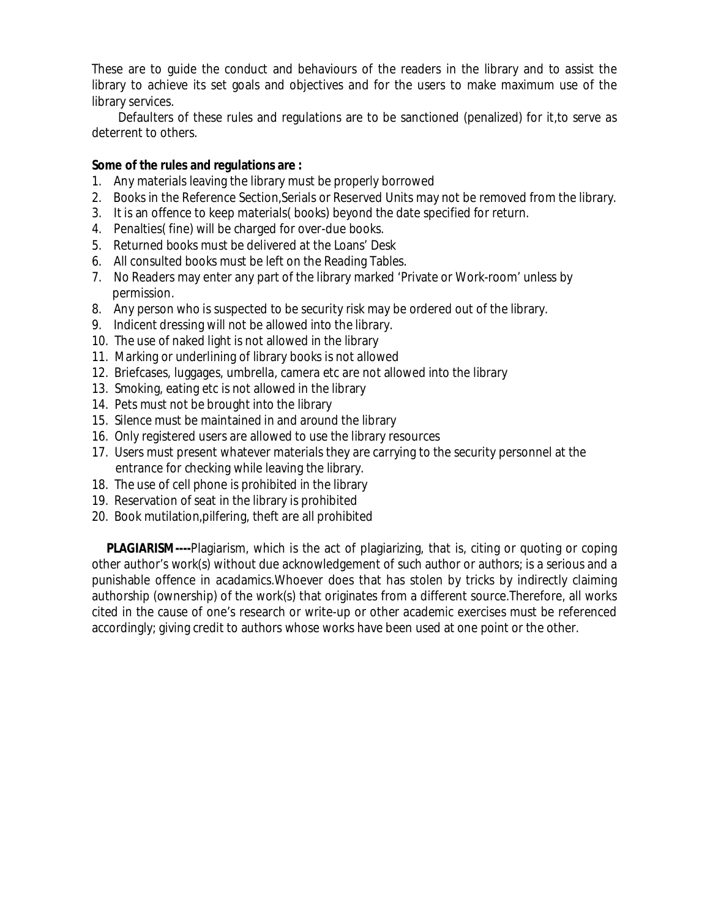These are to guide the conduct and behaviours of the readers in the library and to assist the library to achieve its set goals and objectives and for the users to make maximum use of the library services.

 Defaulters of these rules and regulations are to be sanctioned (penalized) for it,to serve as deterrent to others.

#### **Some of the rules and regulations are :**

- 1. Any materials leaving the library must be properly borrowed
- 2. Books in the Reference Section,Serials or Reserved Units may not be removed from the library.
- 3. It is an offence to keep materials( books) beyond the date specified for return.
- 4. Penalties( fine) will be charged for over-due books.
- 5. Returned books must be delivered at the Loans' Desk
- 6. All consulted books must be left on the Reading Tables.
- 7. No Readers may enter any part of the library marked 'Private or Work-room' unless by permission.
- 8. Any person who is suspected to be security risk may be ordered out of the library.
- 9. Indicent dressing will not be allowed into the library.
- 10. The use of naked light is not allowed in the library
- 11. Marking or underlining of library books is not allowed
- 12. Briefcases, luggages, umbrella, camera etc are not allowed into the library
- 13. Smoking, eating etc is not allowed in the library
- 14. Pets must not be brought into the library
- 15. Silence must be maintained in and around the library
- 16. Only registered users are allowed to use the library resources
- 17. Users must present whatever materials they are carrying to the security personnel at the entrance for checking while leaving the library.
- 18. The use of cell phone is prohibited in the library
- 19. Reservation of seat in the library is prohibited
- 20. Book mutilation,pilfering, theft are all prohibited

 **PLAGIARISM----**Plagiarism, which is the act of plagiarizing, that is, citing or quoting or coping other author's work(s) without due acknowledgement of such author or authors; is a serious and a punishable offence in acadamics.Whoever does that has stolen by tricks by indirectly claiming authorship (ownership) of the work(s) that originates from a different source.Therefore, all works cited in the cause of one's research or write-up or other academic exercises must be referenced accordingly; giving credit to authors whose works have been used at one point or the other.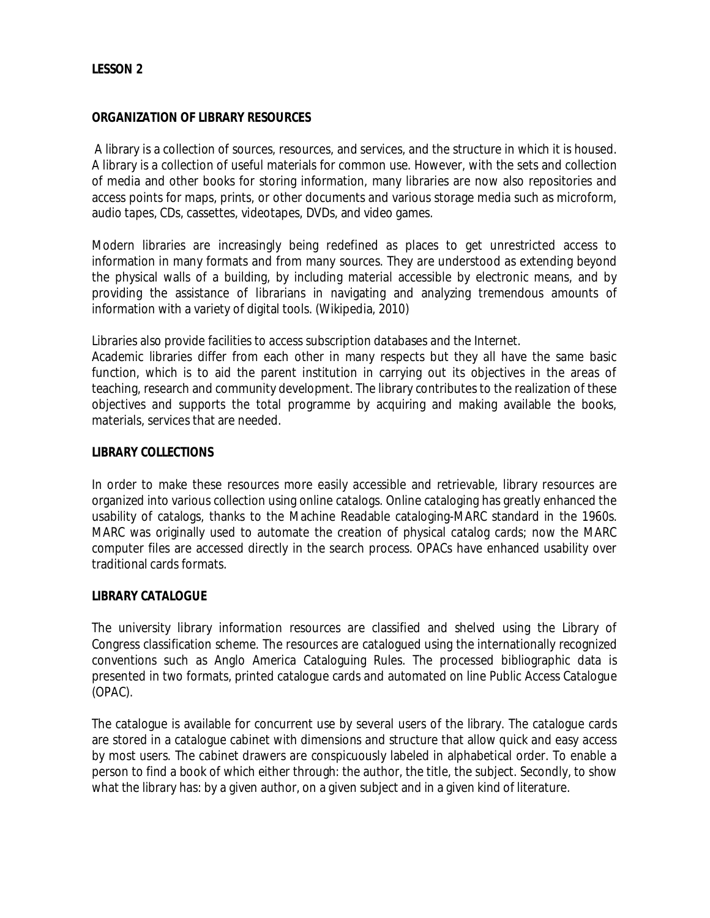### *LESSON 2*

#### *ORGANIZATION OF LIBRARY RESOURCES*

A library is a collection of sources, resources, and services, and the structure in which it is housed. A library is a collection of useful materials for common use. However, with the sets and collection of media and other books for storing information, many libraries are now also repositories and access points for maps, prints, or other documents and various storage media such as microform, audio tapes, CDs, cassettes, videotapes, DVDs, and video games.

Modern libraries are increasingly being redefined as places to get unrestricted access to information in many formats and from many sources. They are understood as extending beyond the physical walls of a building, by including material accessible by electronic means, and by providing the assistance of librarians in navigating and analyzing tremendous amounts of information with a variety of digital tools. (Wikipedia, 2010)

Libraries also provide facilities to access subscription databases and the Internet.

Academic libraries differ from each other in many respects but they all have the same basic function, which is to aid the parent institution in carrying out its objectives in the areas of teaching, research and community development. The library contributes to the realization of these objectives and supports the total programme by acquiring and making available the books, materials, services that are needed.

#### *LIBRARY COLLECTIONS*

In order to make these resources more easily accessible and retrievable, library resources are organized into various collection using online catalogs. Online cataloging has greatly enhanced the usability of catalogs, thanks to the Machine Readable cataloging-MARC standard in the 1960s. MARC was originally used to automate the creation of physical catalog cards; now the MARC computer files are accessed directly in the search process. OPACs have enhanced usability over traditional cards formats.

#### *LIBRARY CATALOGUE*

The university library information resources are classified and shelved using the Library of Congress classification scheme. The resources are catalogued using the internationally recognized conventions such as Anglo America Cataloguing Rules. The processed bibliographic data is presented in two formats, printed catalogue cards and automated on line Public Access Catalogue (OPAC).

The catalogue is available for concurrent use by several users of the library. The catalogue cards are stored in a catalogue cabinet with dimensions and structure that allow quick and easy access by most users. The cabinet drawers are conspicuously labeled in alphabetical order. To enable a person to find a book of which either through: the author, the title, the subject. Secondly, to show what the library has: by a given author, on a given subject and in a given kind of literature.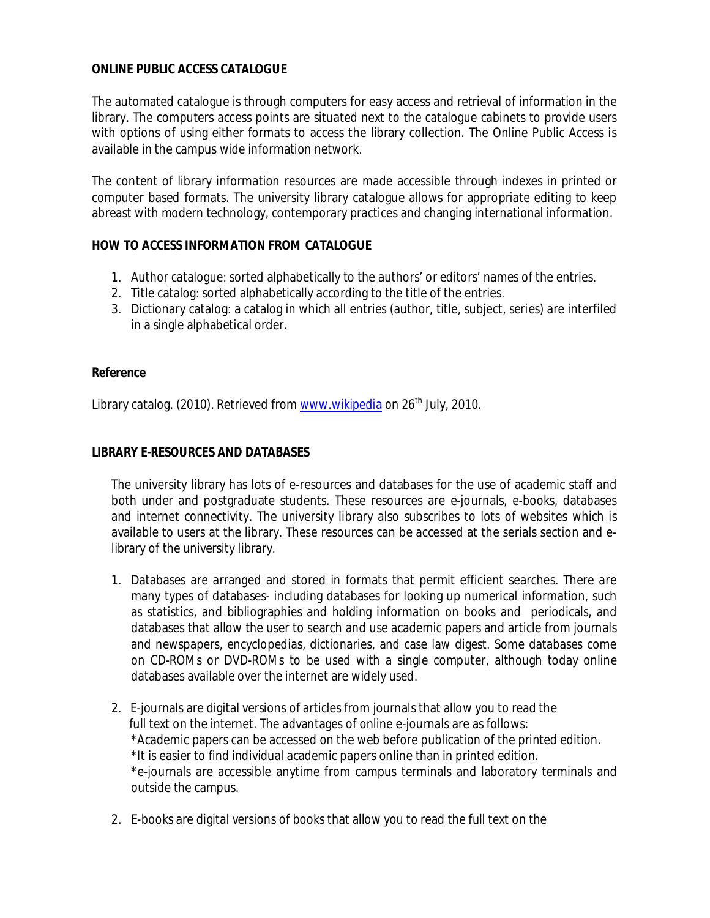## *ONLINE PUBLIC ACCESS CATALOGUE*

The automated catalogue is through computers for easy access and retrieval of information in the library. The computers access points are situated next to the catalogue cabinets to provide users with options of using either formats to access the library collection. The Online Public Access is available in the campus wide information network.

The content of library information resources are made accessible through indexes in printed or computer based formats. The university library catalogue allows for appropriate editing to keep abreast with modern technology, contemporary practices and changing international information.

## *HOW TO ACCESS INFORMATION FROM CATALOGUE*

- 1. Author catalogue: sorted alphabetically to the authors' or editors' names of the entries.
- 2. Title catalog: sorted alphabetically according to the title of the entries.
- 3. Dictionary catalog: a catalog in which all entries (author, title, subject, series) are interfiled in a single alphabetical order.

#### *Reference*

Library catalog. (2010). Retrieved from www.wikipedia on  $26<sup>th</sup>$  July, 2010.

### *LIBRARY E-RESOURCES AND DATABASES*

The university library has lots of e-resources and databases for the use of academic staff and both under and postgraduate students. These resources are e-journals, e-books, databases and internet connectivity. The university library also subscribes to lots of websites which is available to users at the library. These resources can be accessed at the serials section and elibrary of the university library.

- 1. Databases are arranged and stored in formats that permit efficient searches. There are many types of databases- including databases for looking up numerical information, such as statistics, and bibliographies and holding information on books and periodicals, and databases that allow the user to search and use academic papers and article from journals and newspapers, encyclopedias, dictionaries, and case law digest. Some databases come on CD-ROMs or DVD-ROMs to be used with a single computer, although today online databases available over the internet are widely used.
- 2. E-journals are digital versions of articles from journals that allow you to read the full text on the internet. The advantages of online e-journals are as follows: \*Academic papers can be accessed on the web before publication of the printed edition. \*It is easier to find individual academic papers online than in printed edition. \*e-journals are accessible anytime from campus terminals and laboratory terminals and outside the campus.
- 2. E-books are digital versions of books that allow you to read the full text on the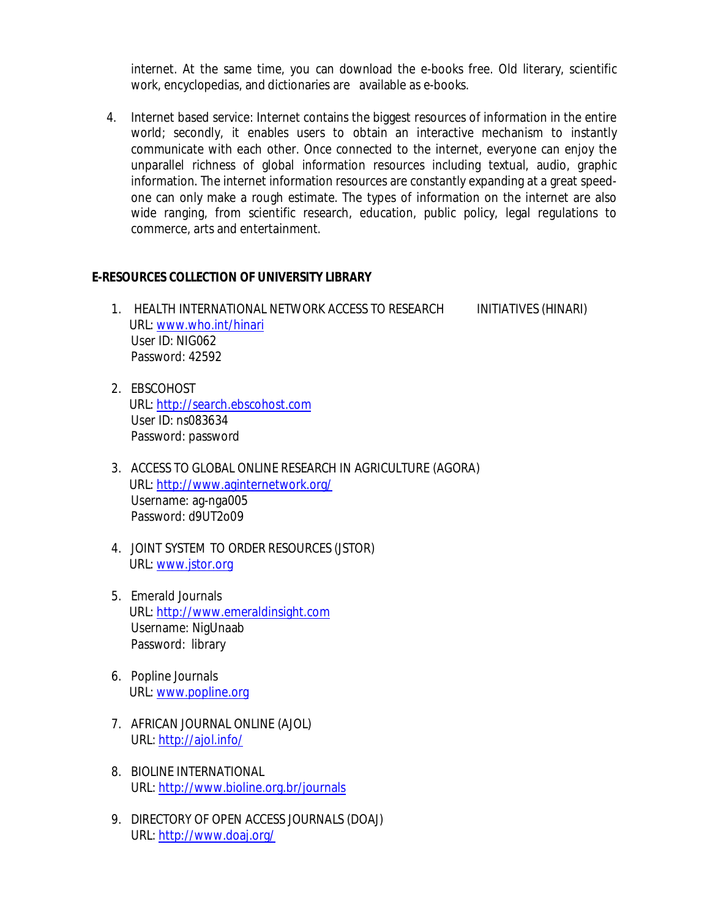internet. At the same time, you can download the e-books free. Old literary, scientific work, encyclopedias, and dictionaries are available as e-books.

 4. Internet based service: Internet contains the biggest resources of information in the entire world; secondly, it enables users to obtain an interactive mechanism to instantly communicate with each other. Once connected to the internet, everyone can enjoy the unparallel richness of global information resources including textual, audio, graphic information. The internet information resources are constantly expanding at a great speedone can only make a rough estimate. The types of information on the internet are also wide ranging, from scientific research, education, public policy, legal regulations to commerce, arts and entertainment.

#### **E-RESOURCES COLLECTION OF UNIVERSITY LIBRARY**

- 1. HEALTH INTERNATIONAL NETWORK ACCESS TO RESEARCH INITIATIVES (HINARI) URL: www.who.int/hinari User ID: NIG062 Password: 42592
- 2. EBSCOHOST URL: http://search.ebscohost.com User ID: ns083634 Password: password
- 3. ACCESS TO GLOBAL ONLINE RESEARCH IN AGRICULTURE (AGORA) URL: http://www.aginternetwork.org/ Username: ag-nga005 Password: d9UT2o09
- 4. JOINT SYSTEM TO ORDER RESOURCES (JSTOR) URL: www.jstor.org
- 5. Emerald Journals URL: http://www.emeraldinsight.com Username: NigUnaab Password: library
- 6. Popline Journals URL: www.popline.org
- 7. AFRICAN JOURNAL ONLINE (AJOL) URL: http://ajol.info/
- 8. BIOLINE INTERNATIONAL URL: http://www.bioline.org.br/journals
- 9. DIRECTORY OF OPEN ACCESS JOURNALS (DOAJ) URL: http://www.doaj.org/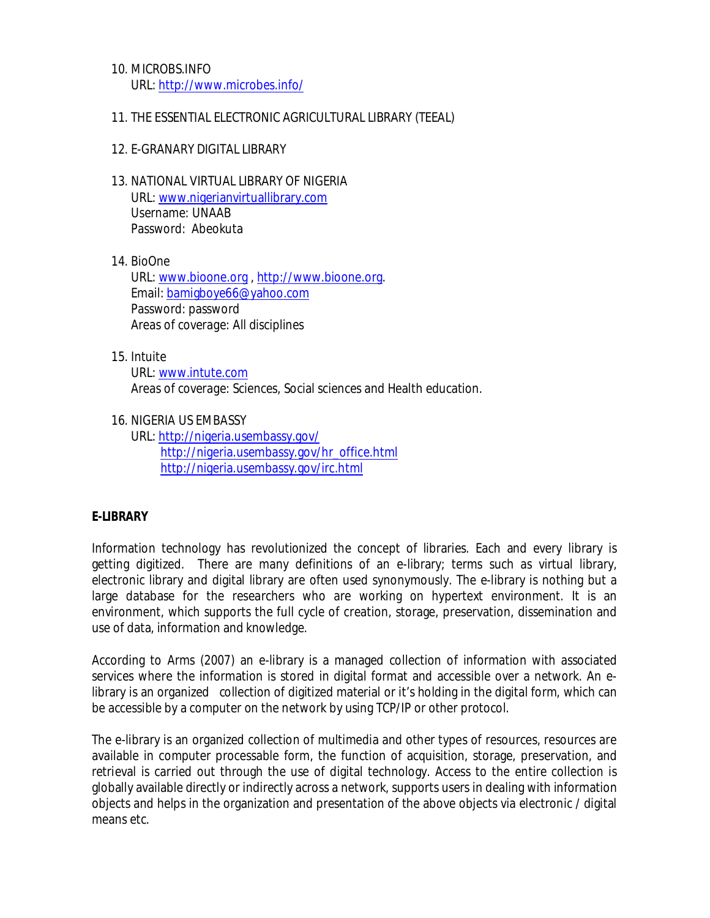- 10. MICROBS.INFO URL: http://www.microbes.info/
- 11. THE ESSENTIAL ELECTRONIC AGRICULTURAL LIBRARY (TEEAL)
- 12. E-GRANARY DIGITAL LIBRARY
- 13. NATIONAL VIRTUAL LIBRARY OF NIGERIA URL: www.nigerianvirtuallibrary.com Username: UNAAB Password: Abeokuta
- 14. BioOne

URL: www.bioone.org , http://www.bioone.org. Email: bamigboye66@yahoo.com Password: password Areas of coverage: All disciplines

15. Intuite

URL: www.intute.com Areas of coverage: Sciences, Social sciences and Health education.

16. NIGERIA US EMBASSY

URL: http://nigeria.usembassy.gov/ http://nigeria.usembassy.gov/hr\_office.html http://nigeria.usembassy.gov/irc.html

# *E-LIBRARY*

Information technology has revolutionized the concept of libraries. Each and every library is getting digitized. There are many definitions of an e-library; terms such as virtual library, electronic library and digital library are often used synonymously. The e-library is nothing but a large database for the researchers who are working on hypertext environment. It is an environment, which supports the full cycle of creation, storage, preservation, dissemination and use of data, information and knowledge.

According to Arms (2007) an e-library is a managed collection of information with associated services where the information is stored in digital format and accessible over a network. An elibrary is an organized collection of digitized material or it's holding in the digital form, which can be accessible by a computer on the network by using TCP/IP or other protocol.

The e-library is an organized collection of multimedia and other types of resources, resources are available in computer processable form, the function of acquisition, storage, preservation, and retrieval is carried out through the use of digital technology. Access to the entire collection is globally available directly or indirectly across a network, supports users in dealing with information objects and helps in the organization and presentation of the above objects via electronic / digital means etc.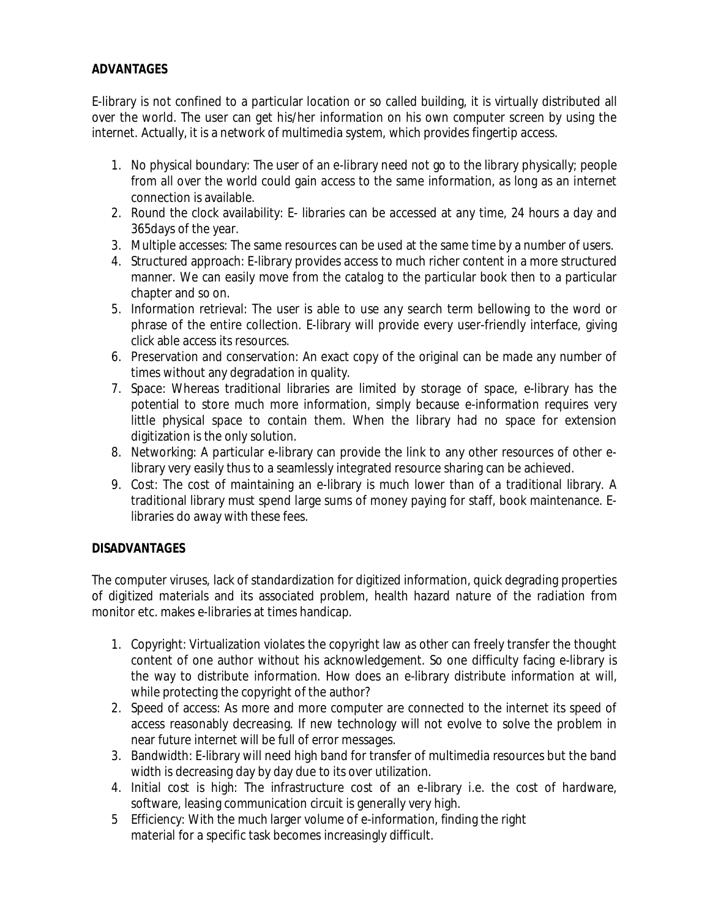# *ADVANTAGES*

E-library is not confined to a particular location or so called building, it is virtually distributed all over the world. The user can get his/her information on his own computer screen by using the internet. Actually, it is a network of multimedia system, which provides fingertip access.

- 1. No physical boundary: The user of an e-library need not go to the library physically; people from all over the world could gain access to the same information, as long as an internet connection is available.
- 2. Round the clock availability: E- libraries can be accessed at any time, 24 hours a day and 365days of the year.
- 3. Multiple accesses: The same resources can be used at the same time by a number of users.
- 4. Structured approach: E-library provides access to much richer content in a more structured manner. We can easily move from the catalog to the particular book then to a particular chapter and so on.
- 5. Information retrieval: The user is able to use any search term bellowing to the word or phrase of the entire collection. E-library will provide every user-friendly interface, giving click able access its resources.
- 6. Preservation and conservation: An exact copy of the original can be made any number of times without any degradation in quality.
- 7. Space: Whereas traditional libraries are limited by storage of space, e-library has the potential to store much more information, simply because e-information requires very little physical space to contain them. When the library had no space for extension digitization is the only solution.
- 8. Networking: A particular e-library can provide the link to any other resources of other elibrary very easily thus to a seamlessly integrated resource sharing can be achieved.
- 9. Cost: The cost of maintaining an e-library is much lower than of a traditional library. A traditional library must spend large sums of money paying for staff, book maintenance. Elibraries do away with these fees.

# *DISADVANTAGES*

The computer viruses, lack of standardization for digitized information, quick degrading properties of digitized materials and its associated problem, health hazard nature of the radiation from monitor etc. makes e-libraries at times handicap.

- 1. Copyright: Virtualization violates the copyright law as other can freely transfer the thought content of one author without his acknowledgement. So one difficulty facing e-library is the way to distribute information. How does an e-library distribute information at will, while protecting the copyright of the author?
- 2. Speed of access: As more and more computer are connected to the internet its speed of access reasonably decreasing. If new technology will not evolve to solve the problem in near future internet will be full of error messages.
- 3. Bandwidth: E-library will need high band for transfer of multimedia resources but the band width is decreasing day by day due to its over utilization.
- 4. Initial cost is high: The infrastructure cost of an e-library i.e. the cost of hardware, software, leasing communication circuit is generally very high.
- 5 Efficiency: With the much larger volume of e-information, finding the right material for a specific task becomes increasingly difficult.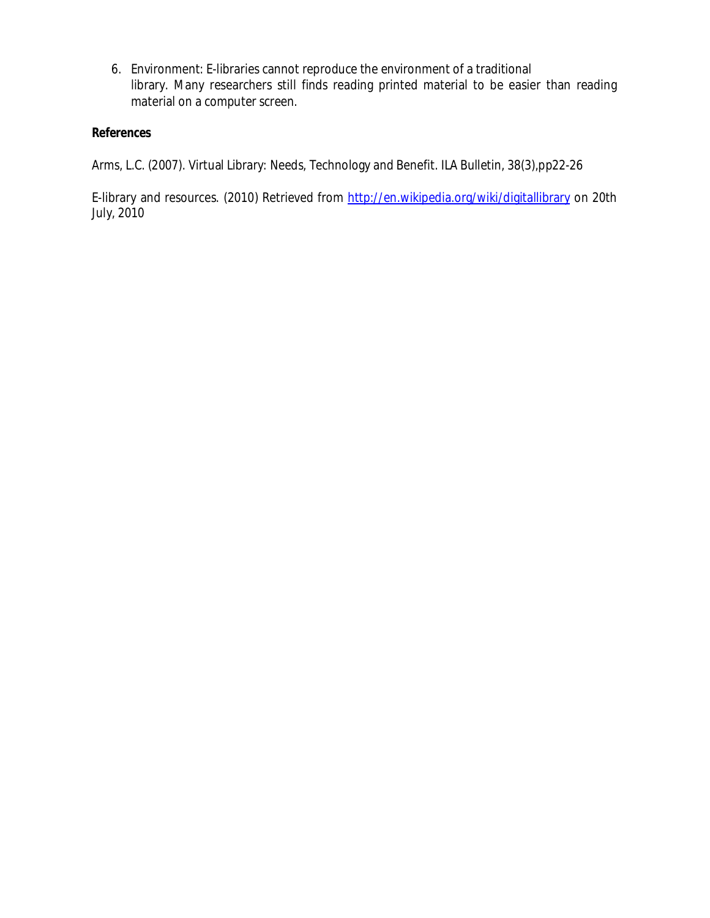6. Environment: E-libraries cannot reproduce the environment of a traditional library. Many researchers still finds reading printed material to be easier than reading material on a computer screen.

## *References*

Arms, L.C. (2007). Virtual Library: Needs, Technology and Benefit. ILA Bulletin, 38(3),pp22-26

E-library and resources. (2010) Retrieved from http://en.wikipedia.org/wiki/digitallibrary on 20th July, 2010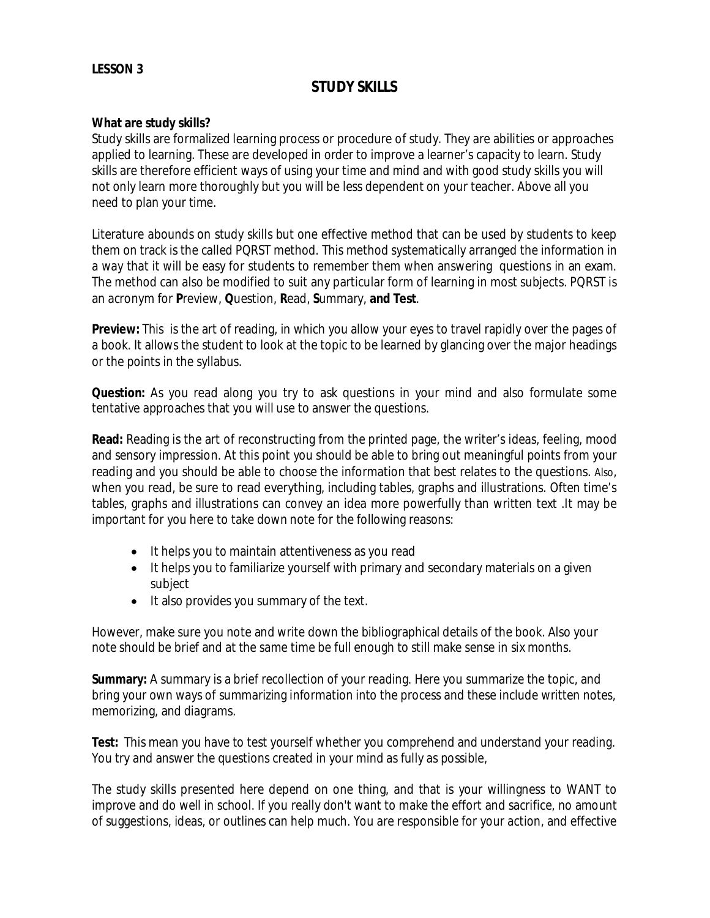### **LESSON 3**

# **STUDY SKILLS**

#### **What are study skills?**

Study skills are formalized learning process or procedure of study. They are abilities or approaches applied to learning. These are developed in order to improve a learner's capacity to learn. Study skills are therefore efficient ways of using your time and mind and with good study skills you will not only learn more thoroughly but you will be less dependent on your teacher. Above all you need to plan your time.

Literature abounds on study skills but one effective method that can be used by students to keep them on track is the called PQRST method. This method systematically arranged the information in a way that it will be easy for students to remember them when answering questions in an exam. The method can also be modified to suit any particular form of learning in most subjects. PQRST is an acronym for **P**review, **Q**uestion, **R**ead, **S**ummary, **and Test**.

**Preview:** This is the art of reading, in which you allow your eyes to travel rapidly over the pages of a book. It allows the student to look at the topic to be learned by glancing over the major headings or the points in the syllabus.

**Question:** As you read along you try to ask questions in your mind and also formulate some tentative approaches that you will use to answer the questions.

**Read:** Reading is the art of reconstructing from the printed page, the writer's ideas, feeling, mood and sensory impression. At this point you should be able to bring out meaningful points from your reading and you should be able to choose the information that best relates to the questions. Also, when you read, be sure to read everything, including tables, graphs and illustrations. Often time's tables, graphs and illustrations can convey an idea more powerfully than written text .It may be important for you here to take down note for the following reasons:

- It helps you to maintain attentiveness as you read
- It helps you to familiarize yourself with primary and secondary materials on a given subject
- It also provides you summary of the text.

However, make sure you note and write down the bibliographical details of the book. Also your note should be brief and at the same time be full enough to still make sense in six months.

**Summary:** A summary is a brief recollection of your reading. Here you summarize the topic, and bring your own ways of summarizing information into the process and these include written notes, memorizing, and diagrams.

**Test:** This mean you have to test yourself whether you comprehend and understand your reading. You try and answer the questions created in your mind as fully as possible,

The study skills presented here depend on one thing, and that is your willingness to WANT to improve and do well in school. If you really don't want to make the effort and sacrifice, no amount of suggestions, ideas, or outlines can help much. You are responsible for your action, and effective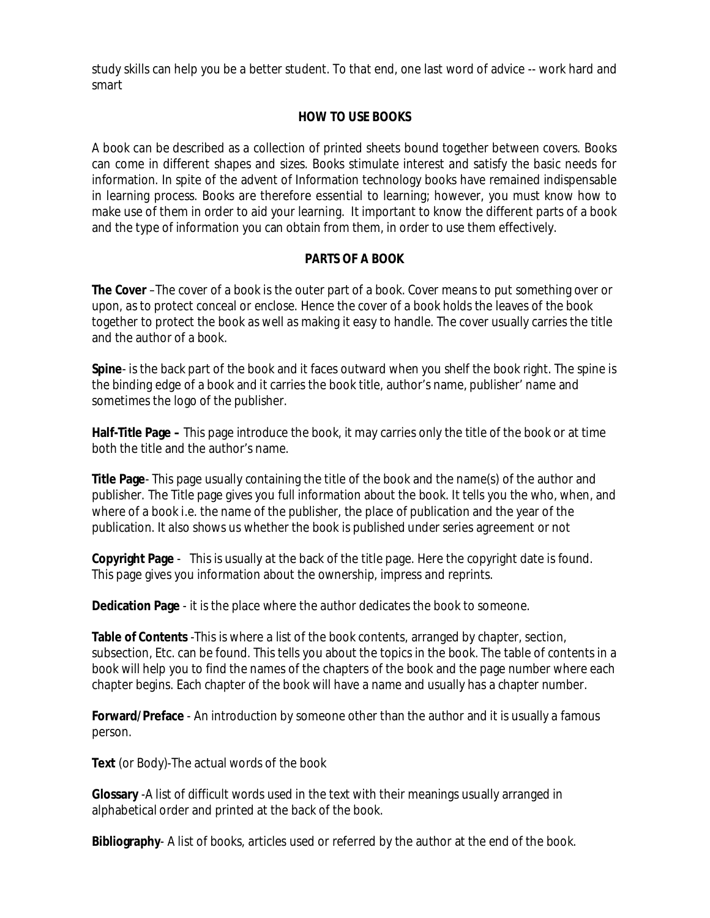study skills can help you be a better student. To that end, one last word of advice -- work hard and smart

# **HOW TO USE BOOKS**

A book can be described as a collection of printed sheets bound together between covers. Books can come in different shapes and sizes. Books stimulate interest and satisfy the basic needs for information. In spite of the advent of Information technology books have remained indispensable in learning process. Books are therefore essential to learning; however, you must know how to make use of them in order to aid your learning. It important to know the different parts of a book and the type of information you can obtain from them, in order to use them effectively.

# **PARTS OF A BOOK**

**The Cover** –The cover of a book is the outer part of a book. Cover means to put something over or upon, as to protect conceal or enclose. Hence the cover of a book holds the leaves of the book together to protect the book as well as making it easy to handle. The cover usually carries the title and the author of a book.

**Spine**- is the back part of the book and it faces outward when you shelf the book right. The spine is the binding edge of a book and it carries the book title, author's name, publisher' name and sometimes the logo of the publisher.

**Half-Title Page –** This page introduce the book, it may carries only the title of the book or at time both the title and the author's name.

**Title Page**- This page usually containing the title of the book and the name(s) of the author and publisher. The Title page gives you full information about the book. It tells you the who, when, and where of a book i.e. the name of the publisher, the place of publication and the year of the publication. It also shows us whether the book is published under series agreement or not

**Copyright Page** - This is usually at the back of the title page. Here the copyright date is found. This page gives you information about the ownership, impress and reprints.

**Dedication Page** - it is the place where the author dedicates the book to someone.

**Table of Contents** -This is where a list of the book contents, arranged by chapter, section, subsection, Etc. can be found. This tells you about the topics in the book. The table of contents in a book will help you to find the names of the chapters of the book and the page number where each chapter begins. Each chapter of the book will have a name and usually has a chapter number.

**Forward/Preface** - An introduction by someone other than the author and it is usually a famous person.

**Text** (or Body)-The actual words of the book

**Glossary** -A list of difficult words used in the text with their meanings usually arranged in alphabetical order and printed at the back of the book.

**Bibliography**- A list of books, articles used or referred by the author at the end of the book.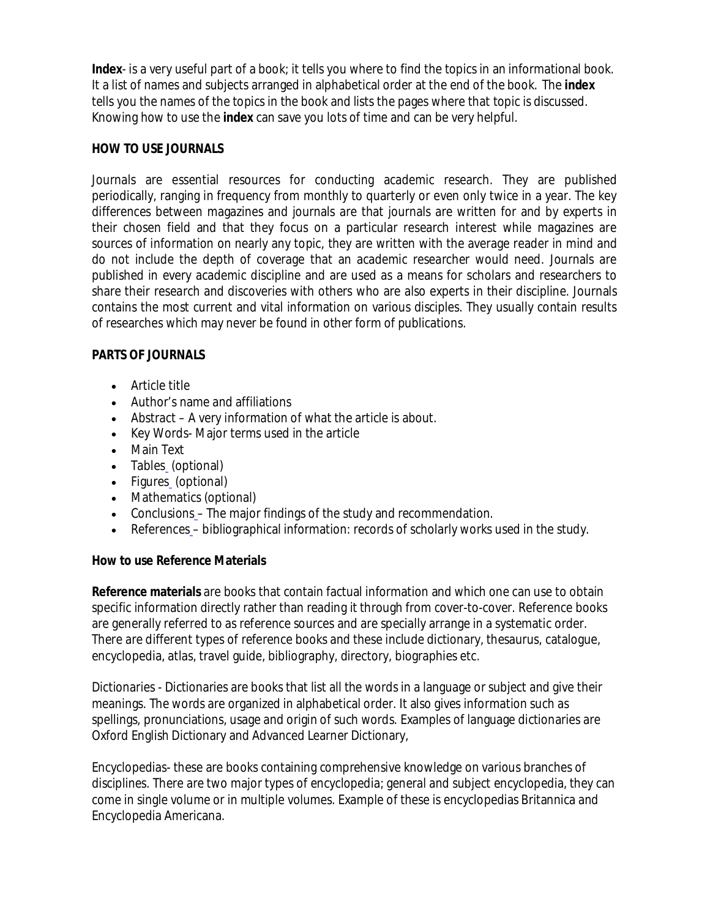**Index**- is a very useful part of a book; it tells you where to find the topics in an informational book. It a list of names and subjects arranged in alphabetical order at the end of the book. The **index** tells you the names of the topics in the book and lists the pages where that topic is discussed. Knowing how to use the **index** can save you lots of time and can be very helpful.

# **HOW TO USE JOURNALS**

Journals are essential resources for conducting academic research. They are published periodically, ranging in frequency from monthly to quarterly or even only twice in a year. The key differences between magazines and journals are that journals are written for and by experts in their chosen field and that they focus on a particular research interest while magazines are sources of information on nearly any topic, they are written with the average reader in mind and do not include the depth of coverage that an academic researcher would need. Journals are published in every academic discipline and are used as a means for scholars and researchers to share their research and discoveries with others who are also experts in their discipline. Journals contains the most current and vital information on various disciples. They usually contain results of researches which may never be found in other form of publications.

## **PARTS OF JOURNALS**

- Article title
- Author's name and affiliations
- Abstract A very information of what the article is about.
- Key Words- Major terms used in the article
- Main Text
- Tables (optional)
- Figures (optional)
- Mathematics (optional)
- Conclusions The major findings of the study and recommendation.
- References bibliographical information: records of scholarly works used in the study.

# **How to use Reference Materials**

**Reference materials** are books that contain factual information and which one can use to obtain specific information directly rather than reading it through from cover-to-cover. Reference books are generally referred to as reference sources and are specially arrange in a systematic order. There are different types of reference books and these include dictionary, thesaurus, catalogue, encyclopedia, atlas, travel guide, bibliography, directory, biographies etc.

Dictionaries - Dictionaries are books that list all the words in a language or subject and give their meanings. The words are organized in alphabetical order. It also gives information such as spellings, pronunciations, usage and origin of such words. Examples of language dictionaries are Oxford English Dictionary and Advanced Learner Dictionary,

Encyclopedias- these are books containing comprehensive knowledge on various branches of disciplines. There are two major types of encyclopedia; general and subject encyclopedia, they can come in single volume or in multiple volumes. Example of these is encyclopedias Britannica and Encyclopedia Americana.